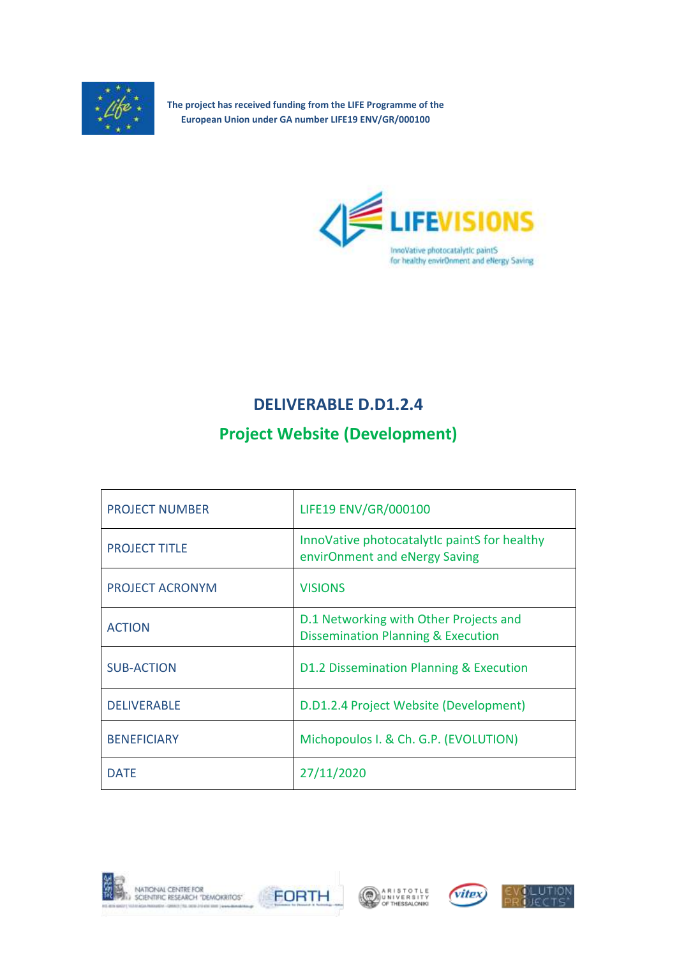

**The project has received funding from the LIFE Programme of the European Union under GA number LIFE19 ENV/GR/000100**



## **DELIVERABLE D.D1.2.4**

# **Project Website (Development)**

| <b>PROJECT NUMBER</b>  | LIFE19 ENV/GR/000100                                                                    |
|------------------------|-----------------------------------------------------------------------------------------|
| <b>PROJECT TITLE</b>   | InnoVative photocatalytic paintS for healthy<br>envirOnment and eNergy Saving           |
| <b>PROJECT ACRONYM</b> | <b>VISIONS</b>                                                                          |
| <b>ACTION</b>          | D.1 Networking with Other Projects and<br><b>Dissemination Planning &amp; Execution</b> |
| <b>SUB-ACTION</b>      | D1.2 Dissemination Planning & Execution                                                 |
| <b>DELIVERABLE</b>     | D.D1.2.4 Project Website (Development)                                                  |
| <b>BENEFICIARY</b>     | Michopoulos I. & Ch. G.P. (EVOLUTION)                                                   |
| <b>DATE</b>            | 27/11/2020                                                                              |









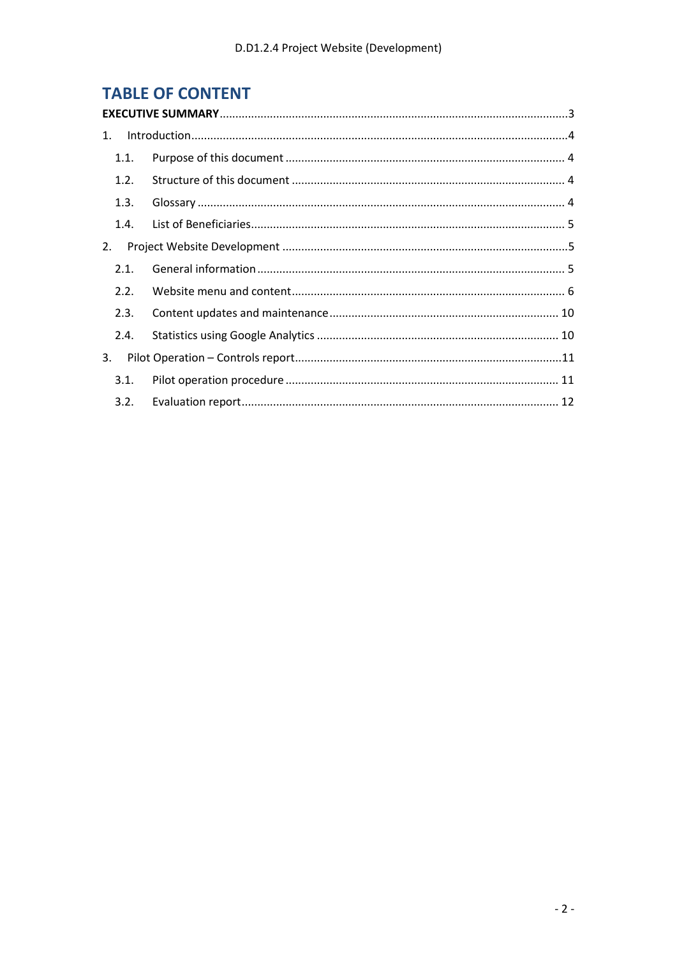# **TABLE OF CONTENT**

| 1. |      |  |  |
|----|------|--|--|
|    | 1.1. |  |  |
|    | 1.2. |  |  |
|    | 1.3. |  |  |
|    | 1.4. |  |  |
| 2. |      |  |  |
|    | 2.1. |  |  |
|    | 2.2. |  |  |
|    | 2.3. |  |  |
|    | 2.4. |  |  |
| 3. |      |  |  |
|    | 3.1. |  |  |
|    | 3.2. |  |  |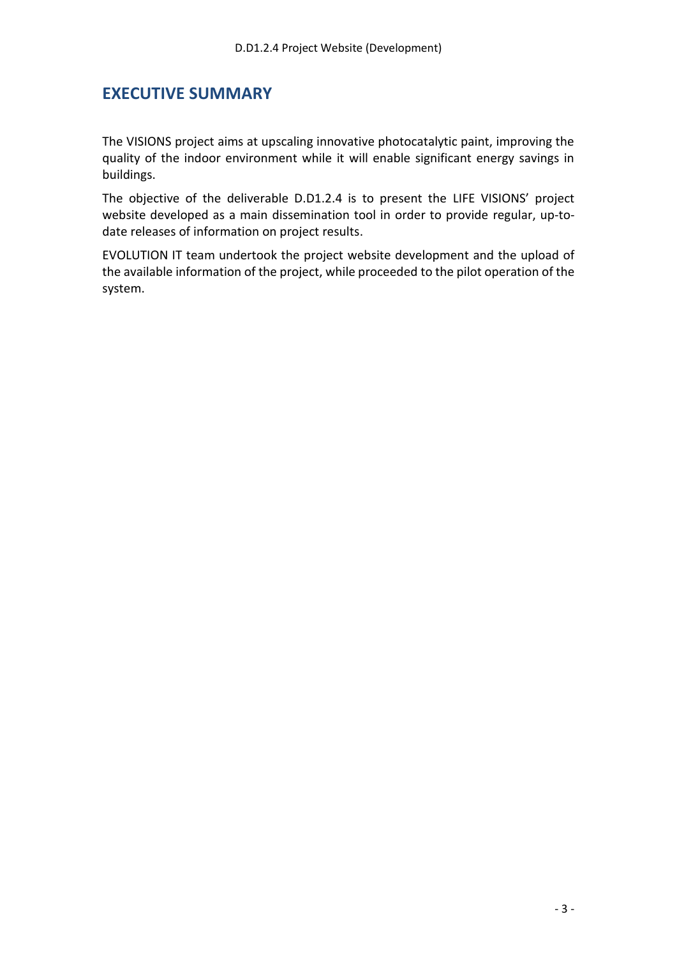### <span id="page-2-0"></span>**EXECUTIVE SUMMARY**

The VISIONS project aims at upscaling innovative photocatalytic paint, improving the quality of the indoor environment while it will enable significant energy savings in buildings.

The objective of the deliverable D.D1.2.4 is to present the LIFE VISIONS' project website developed as a main dissemination tool in order to provide regular, up-todate releases of information on project results.

EVOLUTION ΙΤ team undertook the project website development and the upload of the available information of the project, while proceeded to the pilot operation of the system.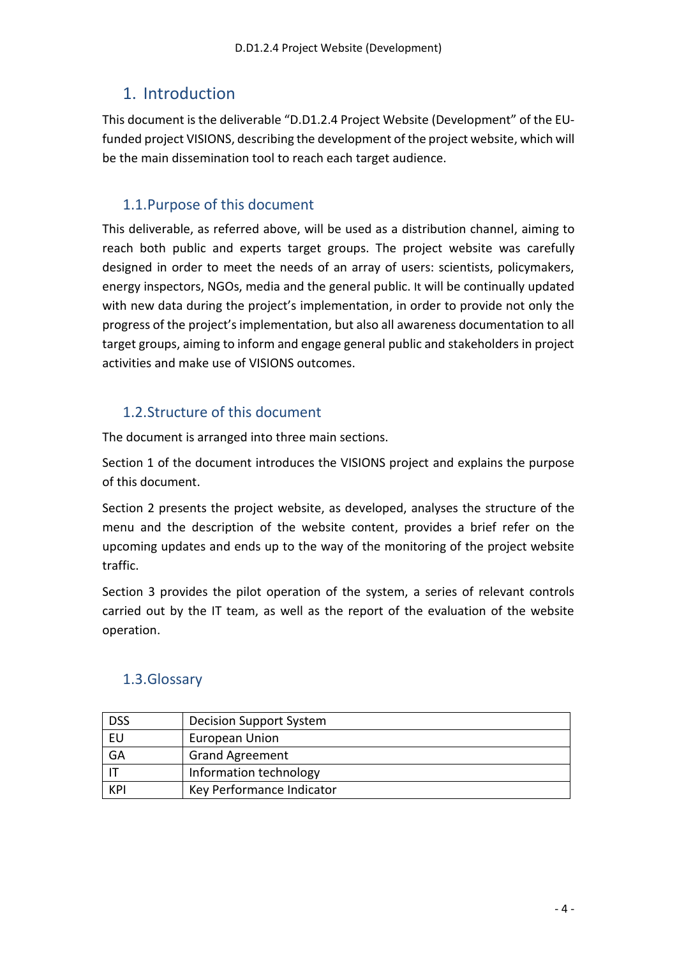## <span id="page-3-0"></span>1. Introduction

This document is the deliverable "D.D1.2.4 Project Website (Development" of the EU‐ funded project VISIONS, describing the development of the project website, which will be the main dissemination tool to reach each target audience.

### <span id="page-3-1"></span>1.1.Purpose of this document

This deliverable, as referred above, will be used as a distribution channel, aiming to reach both public and experts target groups. The project website was carefully designed in order to meet the needs of an array of users: scientists, policymakers, energy inspectors, NGOs, media and the general public. It will be continually updated with new data during the project's implementation, in order to provide not only the progress of the project's implementation, but also all awareness documentation to all target groups, aiming to inform and engage general public and stakeholders in project activities and make use of VISIONS outcomes.

### <span id="page-3-2"></span>1.2.Structure of this document

The document is arranged into three main sections.

Section 1 of the document introduces the VISIONS project and explains the purpose of this document.

Section 2 presents the project website, as developed, analyses the structure of the menu and the description of the website content, provides a brief refer on the upcoming updates and ends up to the way of the monitoring of the project website traffic.

Section 3 provides the pilot operation of the system, a series of relevant controls carried out by the IT team, as well as the report of the evaluation of the website operation.

| <b>DSS</b> | Decision Support System   |
|------------|---------------------------|
| EU         | European Union            |
| GA         | <b>Grand Agreement</b>    |
|            | Information technology    |
| <b>KPI</b> | Key Performance Indicator |

### <span id="page-3-3"></span>1.3.Glossary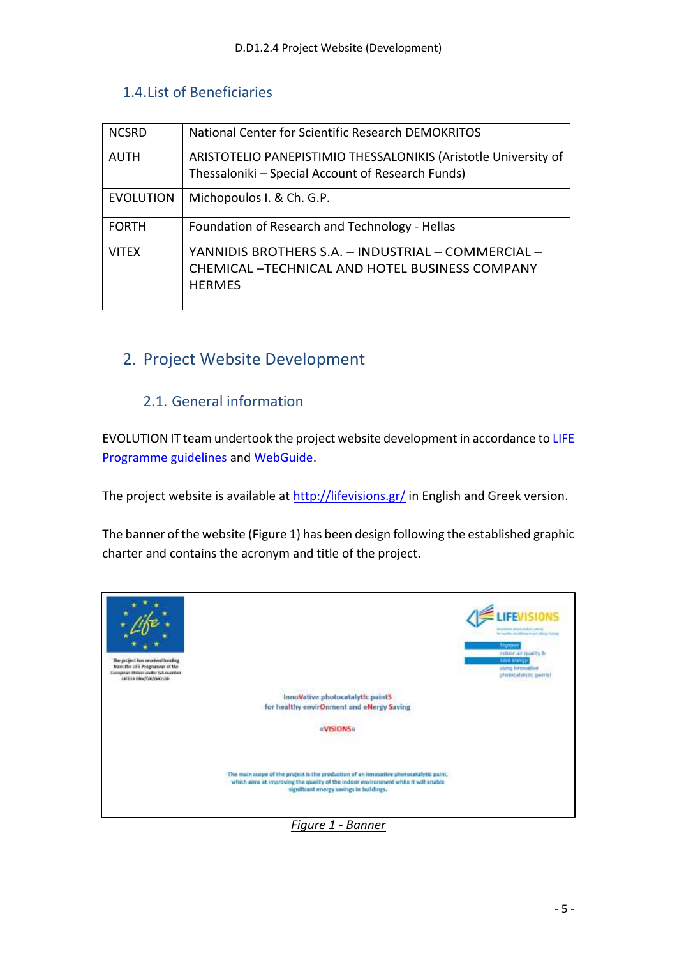### <span id="page-4-0"></span>1.4.List of Beneficiaries

| <b>NCSRD</b>     | National Center for Scientific Research DEMOKRITOS                                                                            |
|------------------|-------------------------------------------------------------------------------------------------------------------------------|
| AUTH             | ARISTOTELIO PANEPISTIMIO THESSALONIKIS (Aristotle University of<br>Thessaloniki - Special Account of Research Funds)          |
| <b>EVOLUTION</b> | Michopoulos I. & Ch. G.P.                                                                                                     |
| <b>FORTH</b>     | Foundation of Research and Technology - Hellas                                                                                |
| <b>VITEX</b>     | YANNIDIS BROTHERS S.A. - INDUSTRIAL - COMMERCIAL -<br><b>CHEMICAL - TECHNICAL AND HOTEL BUSINESS COMPANY</b><br><b>HERMES</b> |

## <span id="page-4-1"></span>2. Project Website Development

### 2.1. General information

<span id="page-4-2"></span>EVOLUTION IT team undertook the project website development in accordance to LIFE [Programme guidelines](https://ec.europa.eu/easme/en/section/life/life-communication#logo) and [WebGuide.](https://wikis.ec.europa.eu/display/WEBGUIDE/06.+Design)

The project website is available at<http://lifevisions.gr/> in English and Greek version.

The banner of the website (Figure 1) has been design following the established graphic charter and contains the acronym and title of the project.



*Figure 1 - Banner*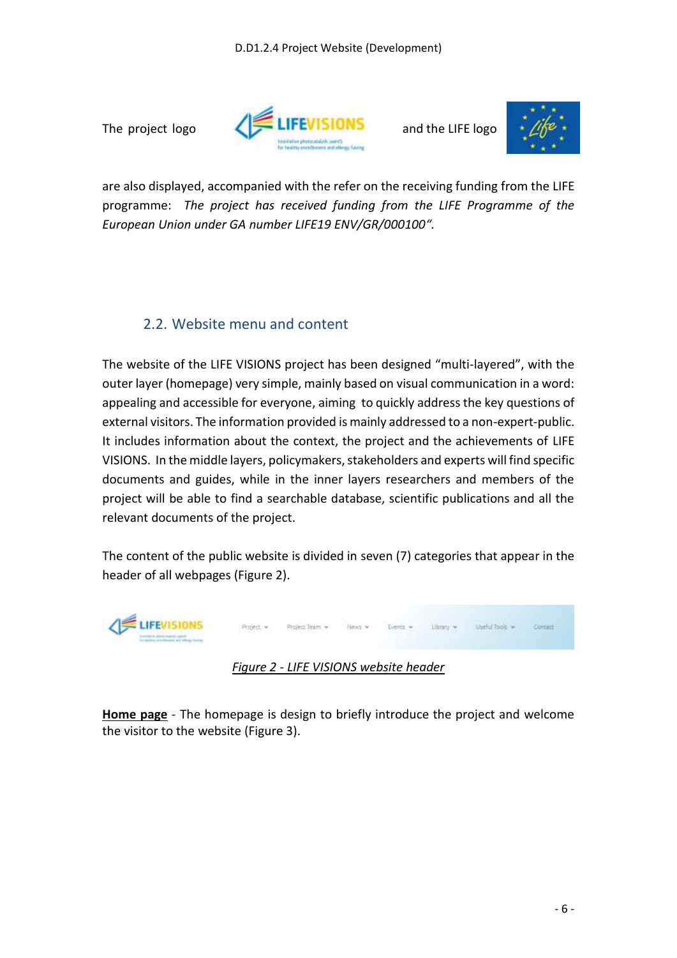



are also displayed, accompanied with the refer on the receiving funding from the LIFE programme: *The project has received funding from the LIFE Programme of the European Union under GA number LIFE19 ENV/GR/000100".*

### <span id="page-5-0"></span>2.2. Website menu and content

The website of the LIFE VISIONS project has been designed "multi‐layered", with the outer layer (homepage) very simple, mainly based on visual communication in a word: appealing and accessible for everyone, aiming to quickly address the key questions of external visitors. The information provided is mainly addressed to a non-expert-public. It includes information about the context, the project and the achievements of LIFE VISIONS. In the middle layers, policymakers, stakeholders and experts will find specific documents and guides, while in the inner layers researchers and members of the project will be able to find a searchable database, scientific publications and all the relevant documents of the project.

The content of the public website is divided in seven (7) categories that appear in the header of all webpages (Figure 2).



*Figure 2 - LIFE VISIONS website header*

**Home page** - The homepage is design to briefly introduce the project and welcome the visitor to the website (Figure 3).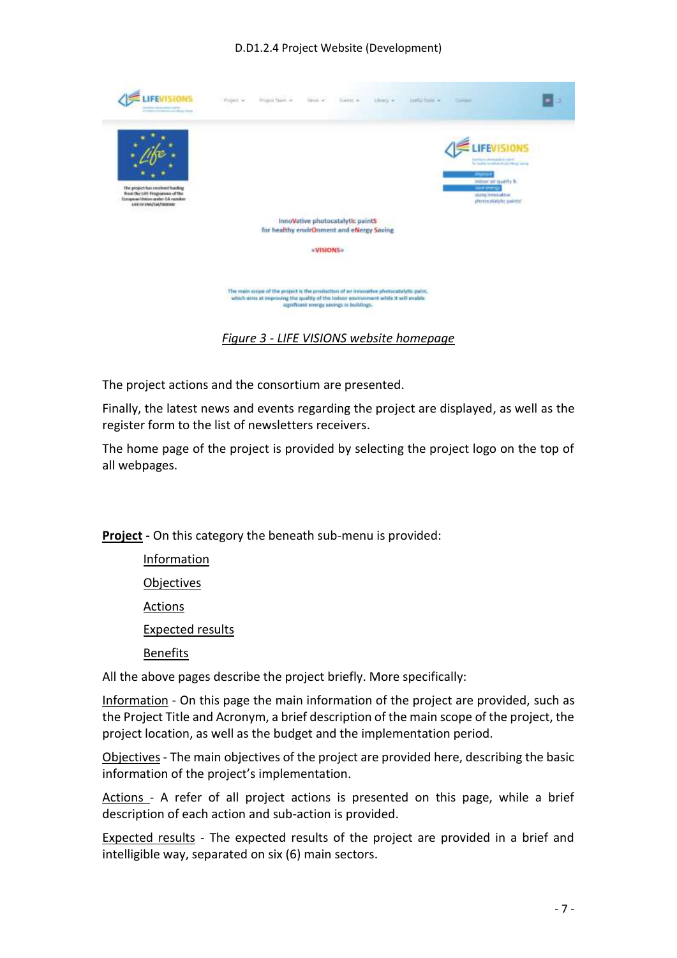

*Figure 3 - LIFE VISIONS website homepage*

The project actions and the consortium are presented.

Finally, the latest news and events regarding the project are displayed, as well as the register form to the list of newsletters receivers.

The home page of the project is provided by selecting the project logo on the top of all webpages.

**Project -** On this category the beneath sub-menu is provided:

Information Objectives Actions Expected results Benefits

All the above pages describe the project briefly. More specifically:

Information - On this page the main information of the project are provided, such as the Project Title and Acronym, a brief description of the main scope of the project, the project location, as well as the budget and the implementation period.

Objectives - The main objectives of the project are provided here, describing the basic information of the project's implementation.

Actions - A refer of all project actions is presented on this page, while a brief description of each action and sub-action is provided.

Expected results - The expected results of the project are provided in a brief and intelligible way, separated on six (6) main sectors.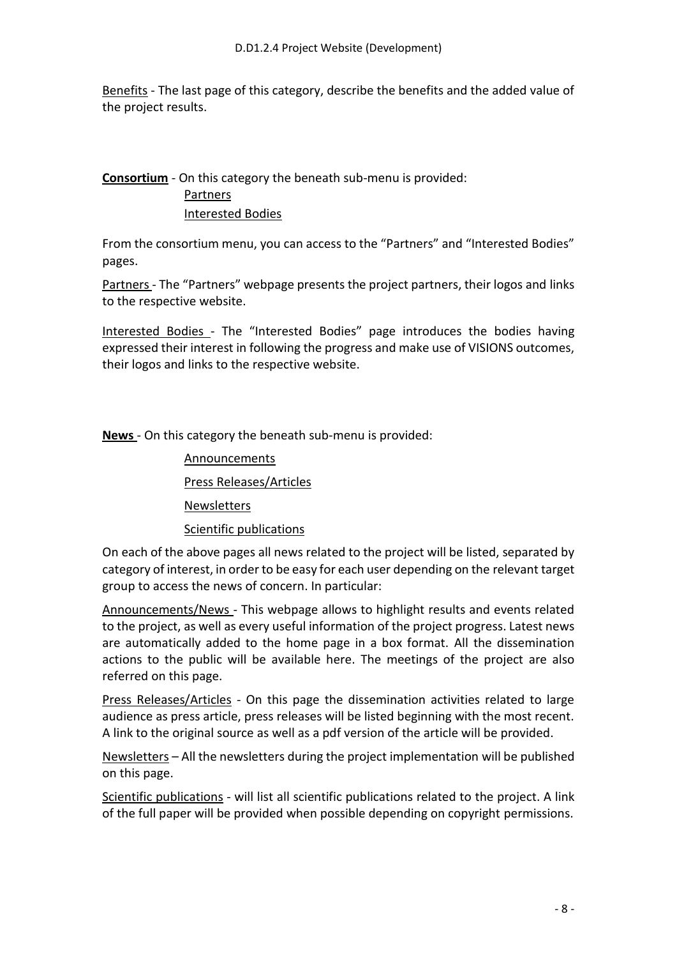Benefits - The last page of this category, describe the benefits and the added value of the project results.

### **Consortium** - On this category the beneath sub-menu is provided: Partners Interested Bodies

From the consortium menu, you can access to the "Partners" and "Interested Bodies" pages.

Partners - The "Partners" webpage presents the project partners, their logos and links to the respective website.

Interested Bodies - The "Interested Bodies" page introduces the bodies having expressed their interest in following the progress and make use of VISIONS outcomes, their logos and links to the respective website.

**News** - On this category the beneath sub-menu is provided:

Announcements

Press Releases/Articles

**Newsletters** 

Scientific publications

On each of the above pages all news related to the project will be listed, separated by category of interest, in order to be easy for each user depending on the relevant target group to access the news of concern. In particular:

Announcements/News - This webpage allows to highlight results and events related to the project, as well as every useful information of the project progress. Latest news are automatically added to the home page in a box format. All the dissemination actions to the public will be available here. The meetings of the project are also referred on this page.

Press Releases/Articles - On this page the dissemination activities related to large audience as press article, press releases will be listed beginning with the most recent. A link to the original source as well as a pdf version of the article will be provided.

Newsletters – All the newsletters during the project implementation will be published on this page.

Scientific publications - will list all scientific publications related to the project. A link of the full paper will be provided when possible depending on copyright permissions.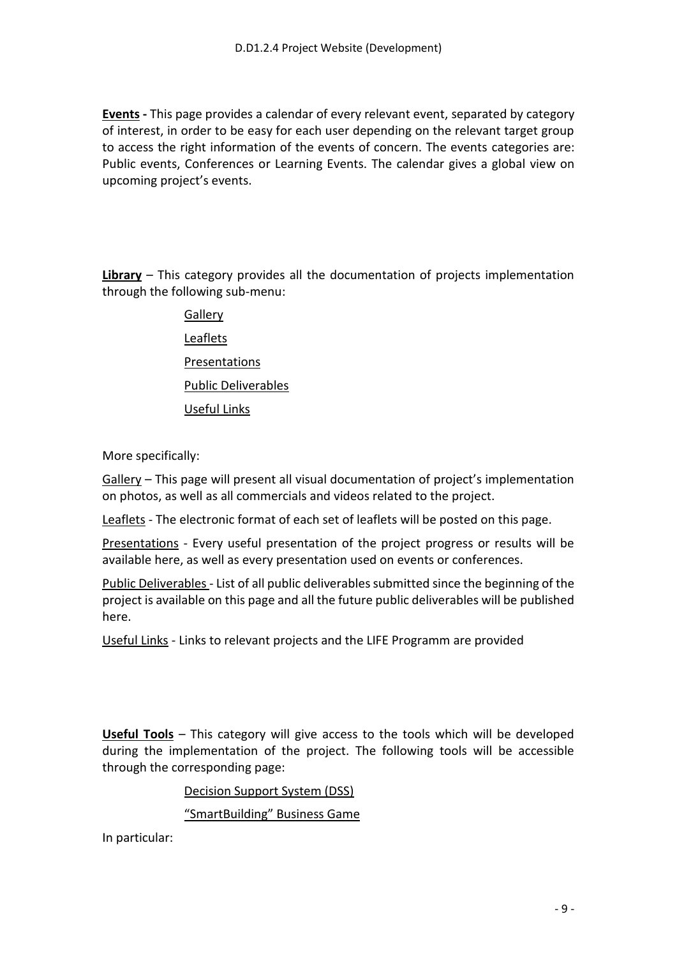**Events -** This page provides a calendar of every relevant event, separated by category of interest, in order to be easy for each user depending on the relevant target group to access the right information of the events of concern. The events categories are: Public events, Conferences or Learning Events. The calendar gives a global view on upcoming project's events.

**Library** – This category provides all the documentation of projects implementation through the following sub-menu:

> **Gallery** Leaflets Presentations Public Deliverables Useful Links

More specifically:

Gallery – This page will present all visual documentation of project's implementation on photos, as well as all commercials and videos related to the project.

Leaflets - The electronic format of each set of leaflets will be posted on this page.

Presentations - Every useful presentation of the project progress or results will be available here, as well as every presentation used on events or conferences.

Public Deliverables - List of all public deliverables submitted since the beginning of the project is available on this page and all the future public deliverables will be published here.

Useful Links - Links to relevant projects and the LIFE Programm are provided

**Useful Tools** – This category will give access to the tools which will be developed during the implementation of the project. The following tools will be accessible through the corresponding page:

Decision Support System (DSS)

"SmartBuilding" Business Game

In particular: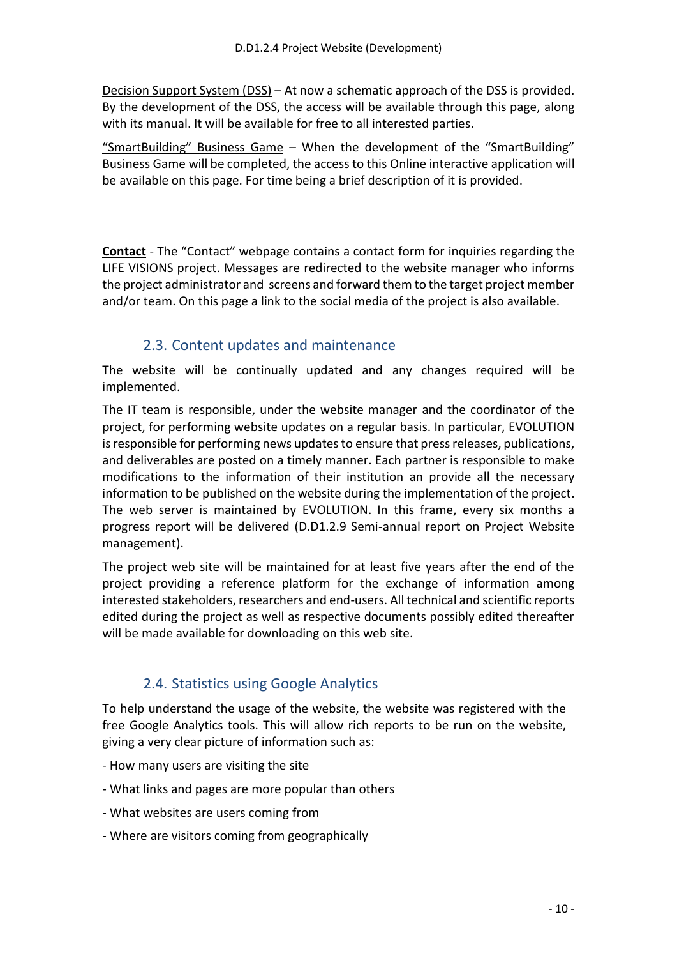Decision Support System (DSS) – At now a schematic approach of the DSS is provided. By the development of the DSS, the access will be available through this page, along with its manual. It will be available for free to all interested parties.

"SmartBuilding" Business Game – When the development of the "SmartBuilding" Business Game will be completed, the access to this Online interactive application will be available on this page. For time being a brief description of it is provided.

**Contact** - The "Contact" webpage contains a contact form for inquiries regarding the LIFE VISIONS project. Messages are redirected to the website manager who informs the project administrator and screens and forward them to the target project member and/or team. On this page a link to the social media of the project is also available.

#### 2.3. Content updates and maintenance

<span id="page-9-0"></span>The website will be continually updated and any changes required will be implemented.

The IT team is responsible, under the website manager and the coordinator of the project, for performing website updates on a regular basis. In particular, EVOLUTION is responsible for performing news updates to ensure that press releases, publications, and deliverables are posted on a timely manner. Each partner is responsible to make modifications to the information of their institution an provide all the necessary information to be published on the website during the implementation of the project. The web server is maintained by EVOLUTION. In this frame, every six months a progress report will be delivered (D.D1.2.9 Semi-annual report on Project Website management).

The project web site will be maintained for at least five years after the end of the project providing a reference platform for the exchange of information among interested stakeholders, researchers and end-users. All technical and scientific reports edited during the project as well as respective documents possibly edited thereafter will be made available for downloading on this web site.

## 2.4. Statistics using Google Analytics

<span id="page-9-1"></span>To help understand the usage of the website, the website was registered with the free Google Analytics tools. This will allow rich reports to be run on the website, giving a very clear picture of information such as:

- How many users are visiting the site
- What links and pages are more popular than others
- What websites are users coming from
- Where are visitors coming from geographically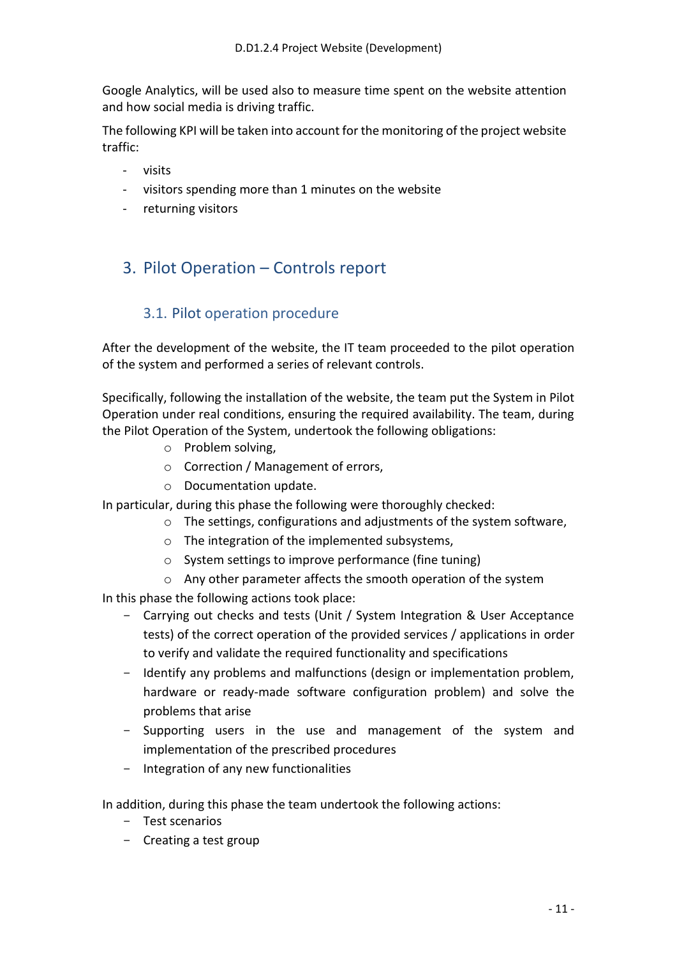Google Analytics, will be used also to measure time spent on the website attention and how social media is driving traffic.

The following KPI will be taken into account for the monitoring of the project website traffic:

- visits
- visitors spending more than 1 minutes on the website
- returning visitors

## <span id="page-10-0"></span>3. Pilot Operation – Controls report

#### 3.1. Pilot operation procedure

<span id="page-10-1"></span>After the development of the website, the ΙΤ team proceeded to the pilot operation of the system and performed a series of relevant controls.

Specifically, following the installation of the website, the team put the System in Pilot Operation under real conditions, ensuring the required availability. The team, during the Pilot Operation of the System, undertook the following obligations:

- o Problem solving,
- o Correction / Management of errors,
- o Documentation update.

In particular, during this phase the following were thoroughly checked:

- o The settings, configurations and adjustments of the system software,
- o The integration of the implemented subsystems,
- o System settings to improve performance (fine tuning)
- o Any other parameter affects the smooth operation of the system

In this phase the following actions took place:

- Carrying out checks and tests (Unit / System Integration & User Acceptance tests) of the correct operation of the provided services / applications in order to verify and validate the required functionality and specifications
- Identify any problems and malfunctions (design or implementation problem, hardware or ready-made software configuration problem) and solve the problems that arise
- Supporting users in the use and management of the system and implementation of the prescribed procedures
- Integration of any new functionalities

In addition, during this phase the team undertook the following actions:

- Test scenarios
- Creating a test group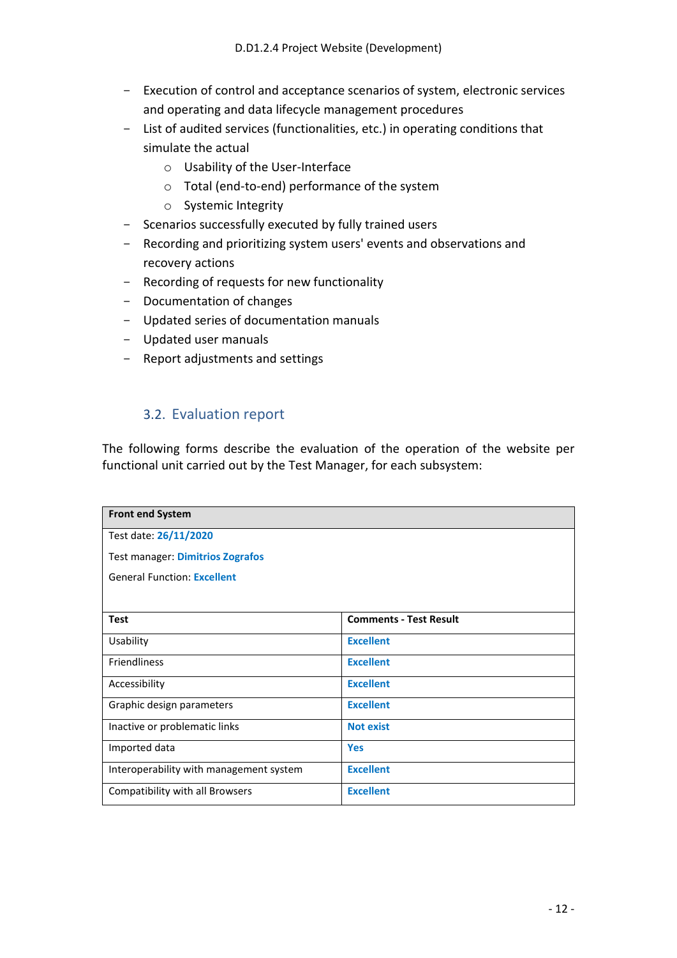- Execution of control and acceptance scenarios of system, electronic services and operating and data lifecycle management procedures
- List of audited services (functionalities, etc.) in operating conditions that simulate the actual
	- o Usability of the User-Interface
	- o Total (end-to-end) performance of the system
	- o Systemic Integrity
- Scenarios successfully executed by fully trained users
- Recording and prioritizing system users' events and observations and recovery actions
- Recording of requests for new functionality
- Documentation of changes
- Updated series of documentation manuals
- Updated user manuals
- Report adjustments and settings

#### 3.2. Evaluation report

<span id="page-11-0"></span>The following forms describe the evaluation of the operation of the website per functional unit carried out by the Test Manager, for each subsystem:

| <b>Front end System</b>                 |                               |  |
|-----------------------------------------|-------------------------------|--|
| Test date: 26/11/2020                   |                               |  |
| Test manager: Dimitrios Zografos        |                               |  |
| <b>General Function: Excellent</b>      |                               |  |
|                                         |                               |  |
| <b>Test</b>                             | <b>Comments - Test Result</b> |  |
| Usability                               | <b>Excellent</b>              |  |
| <b>Friendliness</b>                     | <b>Excellent</b>              |  |
| Accessibility                           | <b>Excellent</b>              |  |
| Graphic design parameters               | <b>Excellent</b>              |  |
| Inactive or problematic links           | <b>Not exist</b>              |  |
| Imported data                           | <b>Yes</b>                    |  |
| Interoperability with management system | <b>Excellent</b>              |  |
| Compatibility with all Browsers         | <b>Excellent</b>              |  |